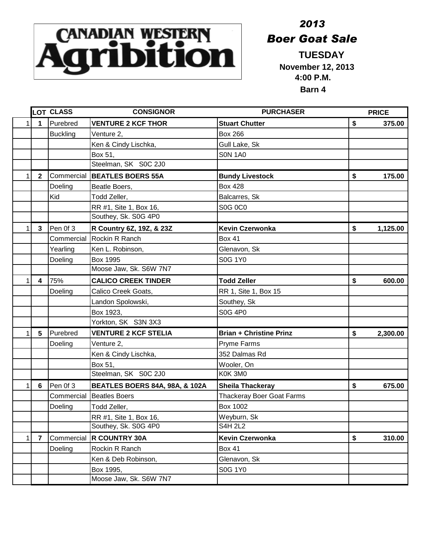## **CANADIAN WESTERN Boer Goat Sa**

## *2013 Boer Goat Sale*

 **November 12, 2013 4:00 P.M. Barn 4**

|              |                | LOT CLASS       | <b>CONSIGNOR</b>                          | <b>PURCHASER</b>                 | <b>PRICE</b>   |
|--------------|----------------|-----------------|-------------------------------------------|----------------------------------|----------------|
| 1            | 1              | Purebred        | <b>VENTURE 2 KCF THOR</b>                 | <b>Stuart Chutter</b>            | \$<br>375.00   |
|              |                | <b>Buckling</b> | Venture 2,                                | <b>Box 266</b>                   |                |
|              |                |                 | Ken & Cindy Lischka,                      | Gull Lake, Sk                    |                |
|              |                |                 | Box 51,                                   | <b>SON 1A0</b>                   |                |
|              |                |                 | Steelman, SK S0C 2J0                      |                                  |                |
|              | $\mathbf{2}$   | Commercial      | <b>BEATLES BOERS 55A</b>                  | <b>Bundy Livestock</b>           | \$<br>175.00   |
|              |                | Doeling         | Beatle Boers,                             | <b>Box 428</b>                   |                |
|              |                | Kid             | Todd Zeller,                              | Balcarres, Sk                    |                |
|              |                |                 | RR #1, Site 1, Box 16,                    | <b>S0G 0C0</b>                   |                |
|              |                |                 | Southey, Sk. S0G 4P0                      |                                  |                |
|              | $\mathbf{3}$   | Pen Of 3        | R Country 6Z, 19Z, & 23Z                  | <b>Kevin Czerwonka</b>           | \$<br>1,125.00 |
|              |                | Commercial      | Rockin R Ranch                            | <b>Box 41</b>                    |                |
|              |                | Yearling        | Ken L. Robinson,                          | Glenavon, Sk                     |                |
|              |                | Doeling         | Box 1995                                  | S0G 1Y0                          |                |
|              |                |                 | Moose Jaw, Sk. S6W 7N7                    |                                  |                |
|              | 4              | 75%             | <b>CALICO CREEK TINDER</b>                | <b>Todd Zeller</b>               | \$<br>600.00   |
|              |                | Doeling         | Calico Creek Goats,                       | RR 1, Site 1, Box 15             |                |
|              |                |                 | Landon Spolowski,                         | Southey, Sk                      |                |
|              |                |                 | Box 1923,                                 | <b>S0G 4P0</b>                   |                |
|              |                |                 | Yorkton, SK S3N 3X3                       |                                  |                |
|              | 5              | Purebred        | <b>VENTURE 2 KCF STELIA</b>               | <b>Brian + Christine Prinz</b>   | \$<br>2,300.00 |
|              |                | Doeling         | Venture 2,                                | Pryme Farms                      |                |
|              |                |                 | Ken & Cindy Lischka,                      | 352 Dalmas Rd                    |                |
|              |                |                 | Box 51,                                   | Wooler, On                       |                |
|              |                |                 | Steelman, SK S0C 2J0                      | K0K 3M0                          |                |
| 1            | 6              | Pen Of 3        | <b>BEATLES BOERS 84A, 98A, &amp; 102A</b> | <b>Sheila Thackeray</b>          | \$<br>675.00   |
|              |                | Commercial      | <b>Beatles Boers</b>                      | <b>Thackeray Boer Goat Farms</b> |                |
|              |                | Doeling         | Todd Zeller,                              | <b>Box 1002</b>                  |                |
|              |                |                 | RR #1, Site 1, Box 16,                    | Weyburn, Sk                      |                |
|              |                |                 | Southey, Sk. S0G 4P0                      | <b>S4H 2L2</b>                   |                |
| $\mathbf{1}$ | $\overline{7}$ | Commercial      | <b>R COUNTRY 30A</b>                      | <b>Kevin Czerwonka</b>           | \$<br>310.00   |
|              |                | Doeling         | Rockin R Ranch                            | <b>Box 41</b>                    |                |
|              |                |                 | Ken & Deb Robinson,                       | Glenavon, Sk                     |                |
|              |                |                 | Box 1995,                                 | <b>S0G 1Y0</b>                   |                |
|              |                |                 | Moose Jaw, Sk. S6W 7N7                    |                                  |                |